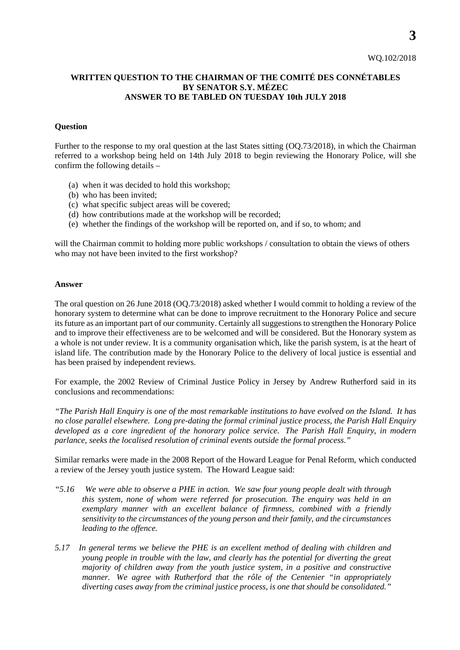## **WRITTEN QUESTION TO THE CHAIRMAN OF THE COMITÉ DES CONNÉTABLES BY SENATOR S.Y. MÉZEC ANSWER TO BE TABLED ON TUESDAY 10th JULY 2018**

## **Question**

Further to the response to my oral question at the last States sitting (OQ.73/2018), in which the Chairman referred to a workshop being held on 14th July 2018 to begin reviewing the Honorary Police, will she confirm the following details –

- (a) when it was decided to hold this workshop;
- (b) who has been invited;
- (c) what specific subject areas will be covered;
- (d) how contributions made at the workshop will be recorded;
- (e) whether the findings of the workshop will be reported on, and if so, to whom; and

will the Chairman commit to holding more public workshops / consultation to obtain the views of others who may not have been invited to the first workshop?

## **Answer**

The oral question on 26 June 2018 (OQ.73/2018) asked whether I would commit to holding a review of the honorary system to determine what can be done to improve recruitment to the Honorary Police and secure its future as an important part of our community. Certainly all suggestions to strengthen the Honorary Police and to improve their effectiveness are to be welcomed and will be considered. But the Honorary system as a whole is not under review. It is a community organisation which, like the parish system, is at the heart of island life. The contribution made by the Honorary Police to the delivery of local justice is essential and has been praised by independent reviews.

For example, the 2002 Review of Criminal Justice Policy in Jersey by Andrew Rutherford said in its conclusions and recommendations:

*"The Parish Hall Enquiry is one of the most remarkable institutions to have evolved on the Island. It has no close parallel elsewhere. Long pre-dating the formal criminal justice process, the Parish Hall Enquiry developed as a core ingredient of the honorary police service. The Parish Hall Enquiry, in modern parlance, seeks the localised resolution of criminal events outside the formal process."*

Similar remarks were made in the 2008 Report of the Howard League for Penal Reform, which conducted a review of the Jersey youth justice system. The Howard League said:

- *"5.16 We were able to observe a PHE in action. We saw four young people dealt with through this system, none of whom were referred for prosecution. The enquiry was held in an exemplary manner with an excellent balance of firmness, combined with a friendly sensitivity to the circumstances of the young person and their family, and the circumstances leading to the offence.*
- *5.17 In general terms we believe the PHE is an excellent method of dealing with children and young people in trouble with the law, and clearly has the potential for diverting the great majority of children away from the youth justice system, in a positive and constructive manner. We agree with Rutherford that the rôle of the Centenier "in appropriately diverting cases away from the criminal justice process, is one that should be consolidated."*